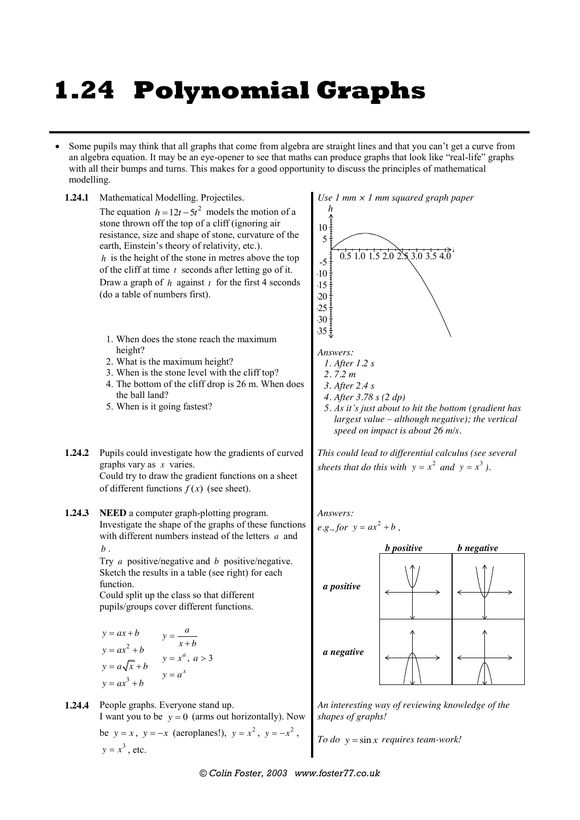## **1.24 Polynomial Graphs**

 Some pupils may think that all graphs that come from algebra are straight lines and that you can't get a curve from an algebra equation. It may be an eye-opener to see that maths can produce graphs that look like "real-life" graphs with all their bumps and turns. This makes for a good opportunity to discuss the principles of mathematical modelling.



 $y = x^3$ , etc.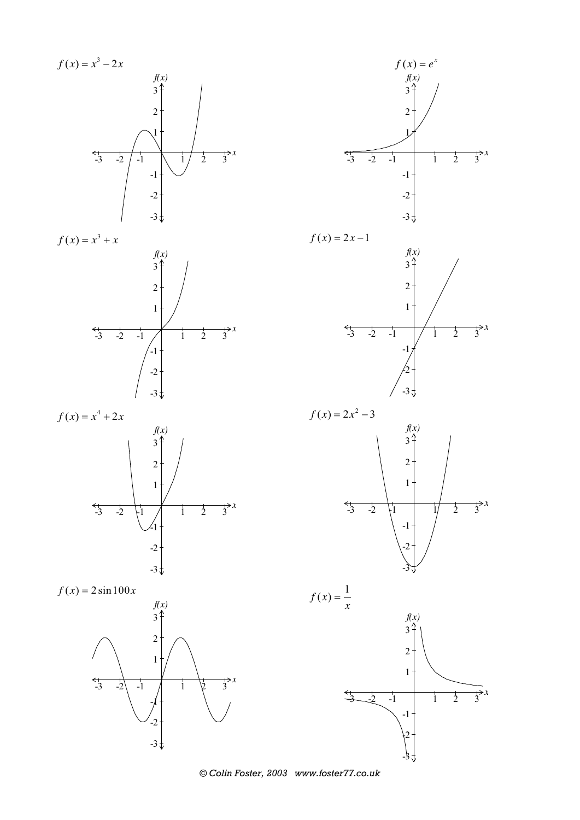

 $-2$  $-3\frac{1}{v}$ 



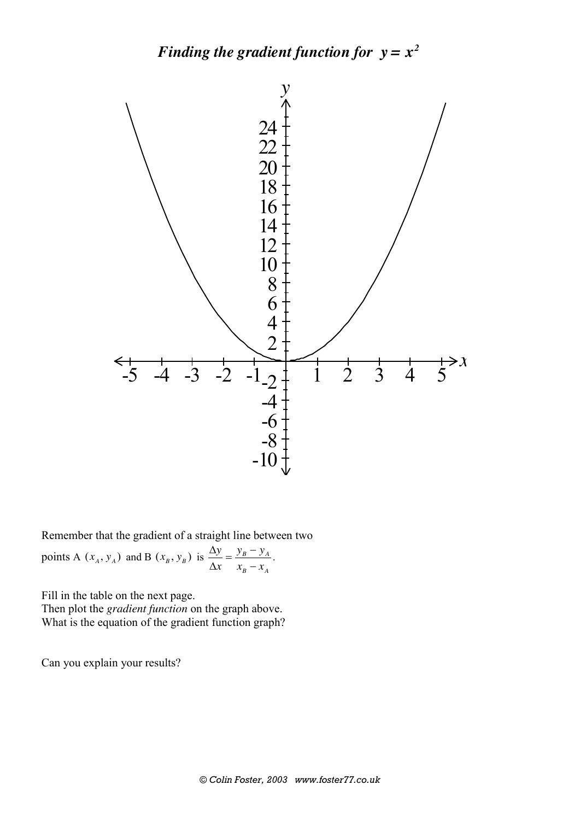## *Finding the gradient function for*  $y = x^2$



Remember that the gradient of a straight line between two

points A  $(x_A, y_A)$  and B  $(x_B, y_B)$  is  $\frac{\Delta y}{\Delta x} = \frac{y_B - y_A}{x_B - x_B}$ *B A*  $y$   $y_B - y$  $\frac{\Delta y}{\Delta x} = \frac{y_B - y_A}{x_B - x_A}.$ 

Fill in the table on the next page. Then plot the *gradient function* on the graph above. What is the equation of the gradient function graph?

Can you explain your results?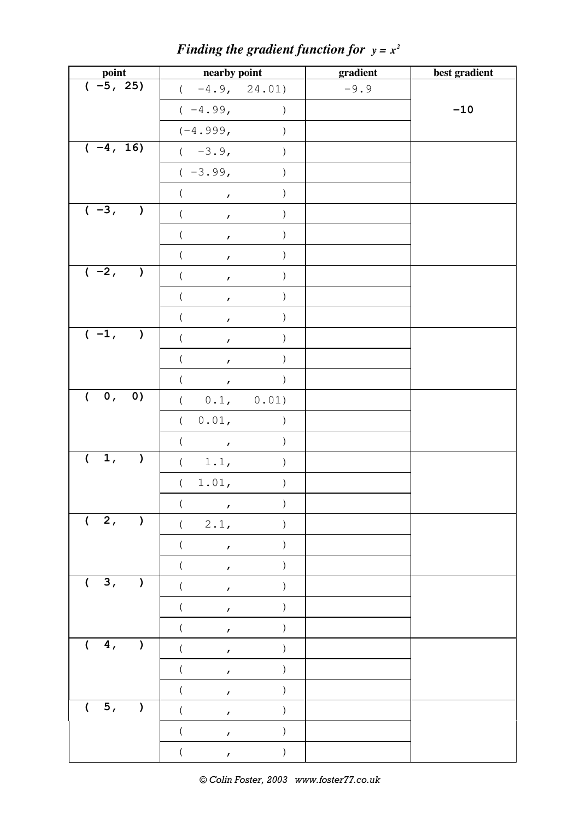| point                             | nearby point                                    |                  | gradient | best gradient |
|-----------------------------------|-------------------------------------------------|------------------|----------|---------------|
| $(-5, 25)$                        | $(-4.9, 24.01)$                                 |                  | $-9.9$   |               |
|                                   | $(-4.99,$                                       | $\left( \right)$ |          | $-10$         |
|                                   | $(-4.999,$                                      | $\mathcal{E}$    |          |               |
| $(-4, 16)$                        | $(-3.9,$                                        | $\mathcal{E}$    |          |               |
|                                   | $(-3.99,$                                       | $\left( \right)$ |          |               |
|                                   | (                                               | $\big)$          |          |               |
| $(-3,  )$                         | $\left($<br>$\mathcal{T}$                       | $\big)$          |          |               |
|                                   | $\overline{(\ }$<br>$\mathcal{L}_{\mathcal{A}}$ | $\mathcal{E}$    |          |               |
|                                   | $\overline{(\ }$<br>$\bar{r}$                   | $\mathcal{C}$    |          |               |
| $(-2,  )$                         | (<br>$\mathcal{L}$                              | $\big)$          |          |               |
|                                   | $\left($<br>$\mathbf{r}$                        | $\big)$          |          |               |
|                                   | $\overline{(\ }$<br>$\bar{r}$                   | $\mathcal{E}$    |          |               |
| $(-1,  )$                         | $\overline{(\ }$<br>$\mathbf{r}$                | $\mathcal{E}$    |          |               |
|                                   | $\overline{(\ }$<br>$\mathcal{L}$               | $\mathcal{E}$    |          |               |
|                                   | $\left($<br>$\mathcal{F}^{\pm}$ .               | $\lambda$        |          |               |
| $\overline{()}, 0)$               | ( 0.1, 0.01)                                    |                  |          |               |
|                                   | $\left($<br>0.01,                               | $\mathcal{C}$    |          |               |
|                                   | $\left($<br>$\overline{1}$                      | $\mathcal{C}$    |          |               |
| 1,<br>$\sqrt{2}$                  | $\left($<br>1.1,                                | $\left( \right)$ |          |               |
|                                   | (1.01,                                          | $\left( \right)$ |          |               |
|                                   | $\sqrt{1}$<br>$\mathbf{r}$                      |                  |          |               |
| (2,<br>$\lambda$                  | 2.1,<br>$\left($                                |                  |          |               |
|                                   | $\pmb{r}$                                       |                  |          |               |
|                                   | $\pmb{r}$                                       |                  |          |               |
| 3,<br>$\overline{ }$<br>$\lambda$ | $\boldsymbol{r}$                                |                  |          |               |
|                                   | $\mathbf{r}$                                    |                  |          |               |
|                                   | $\mathbf{r}$                                    |                  |          |               |
| 4,<br>$\overline{(}$<br>$\lambda$ | $\mathbf{r}$                                    |                  |          |               |
|                                   | $\pmb{r}$                                       |                  |          |               |
|                                   | $\overline{ }$<br>$\boldsymbol{r}$              |                  |          |               |
| $\overline{5}$ ,<br>(             | $\pmb{r}$                                       |                  |          |               |
|                                   | $\mathbf{r}$                                    |                  |          |               |
|                                   | $\mathbf{r}$                                    |                  |          |               |

*Finding the gradient function for*  $y = x^2$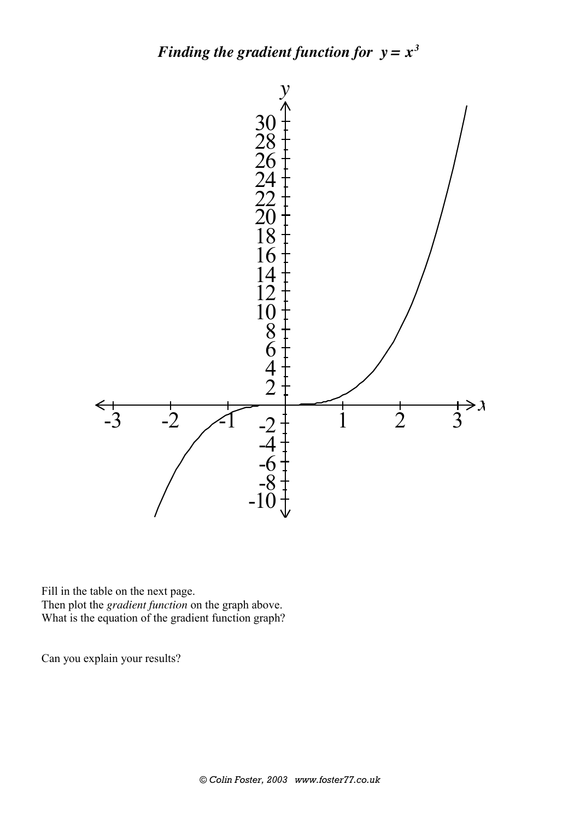## *Finding the gradient function for*  $y = x^3$



Fill in the table on the next page. Then plot the *gradient function* on the graph above. What is the equation of the gradient function graph?

Can you explain your results?